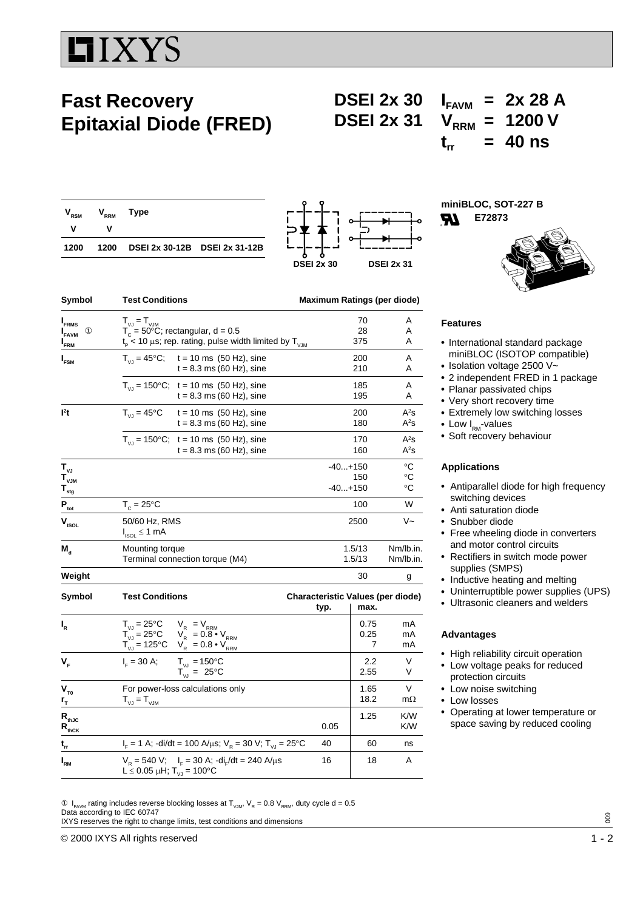# IIXYS

## **Fast Recovery Epitaxial Diode (FRED)**

**DSEI 2x 30**  $I_{FAVM}$  = 2x 28 A<br>**DSEI 2x 31**  $V_{PPM}$  = 1200 V  $V_{\text{RRM}} = 1200 V$  $t_{rr}$  = 40 ns

| $\mathsf{V}_{_{\mathsf{RSM}}}$<br>- V | $V_{\text{\tiny RRM}}$<br>v | Type                               |  |
|---------------------------------------|-----------------------------|------------------------------------|--|
| 1200                                  |                             | 1200 DSEI 2x 30-12B DSEI 2x 31-12B |  |



s 16 18 A

**miniBLOC, SOT-227 B IR E72873**



| $I_{FRMS}$                    | $T_{VJ} = T_{VJM}$                                                                                                                                                                                                                                                                                                                                                                  | 70                                                       |                   | Α                      |
|-------------------------------|-------------------------------------------------------------------------------------------------------------------------------------------------------------------------------------------------------------------------------------------------------------------------------------------------------------------------------------------------------------------------------------|----------------------------------------------------------|-------------------|------------------------|
| ⊕<br><b>I</b> <sub>FAVM</sub> | $T_c = 50^{\circ}$ C; rectangular, d = 0.5                                                                                                                                                                                                                                                                                                                                          |                                                          | 28                | Α                      |
| I <sub>FRM</sub>              | $t_{\rm p}$ < 10 $\mu$ s; rep. rating, pulse width limited by T <sub>V.M</sub>                                                                                                                                                                                                                                                                                                      |                                                          | 375               | A                      |
| I <sub>FSM</sub>              | $T_{V1} = 45^{\circ}$ C; t = 10 ms (50 Hz), sine                                                                                                                                                                                                                                                                                                                                    |                                                          | 200               | Α                      |
|                               | $t = 8.3$ ms (60 Hz), sine                                                                                                                                                                                                                                                                                                                                                          |                                                          | 210               | A                      |
|                               | $T_{V1}$ = 150°C; t = 10 ms (50 Hz), sine                                                                                                                                                                                                                                                                                                                                           |                                                          | 185               | A                      |
|                               | $t = 8.3$ ms (60 Hz), sine                                                                                                                                                                                                                                                                                                                                                          |                                                          | 195               | A                      |
| l <sup>2</sup> t              | $T_{V,I} = 45^{\circ}C$<br>$t = 10$ ms $(50$ Hz), sine                                                                                                                                                                                                                                                                                                                              |                                                          | 200               | $A^2s$                 |
|                               | $t = 8.3$ ms (60 Hz), sine                                                                                                                                                                                                                                                                                                                                                          |                                                          | 180               | $A^2s$                 |
|                               | $T_{V1}$ = 150°C; t = 10 ms (50 Hz), sine                                                                                                                                                                                                                                                                                                                                           |                                                          | 170               | $A^2s$                 |
|                               | $t = 8.3$ ms (60 Hz), sine                                                                                                                                                                                                                                                                                                                                                          |                                                          | 160               | $A^2s$                 |
| $T_{\nu J}$                   |                                                                                                                                                                                                                                                                                                                                                                                     | $-40+150$                                                |                   | $^{\circ}C$            |
| $T_{\rm vJM}$                 |                                                                                                                                                                                                                                                                                                                                                                                     |                                                          | 150               | °C                     |
| $T_{\frac{stg}{}}$            |                                                                                                                                                                                                                                                                                                                                                                                     | $-40+150$                                                |                   | $\circ$ C              |
| $P_{\text{tot}}$              | $T_c = 25$ °C                                                                                                                                                                                                                                                                                                                                                                       |                                                          | 100               | W                      |
| $V_{ISOL}$                    | 50/60 Hz, RMS<br>$I_{ISOL} \leq 1$ mA                                                                                                                                                                                                                                                                                                                                               | 2500                                                     |                   | V~                     |
| $\mathbf{M}_\mathrm{d}$       | Mounting torque<br>Terminal connection torque (M4)                                                                                                                                                                                                                                                                                                                                  |                                                          | 1.5/13<br>1.5/13  | Nm/lb.in.<br>Nm/lb.in. |
| Weight                        |                                                                                                                                                                                                                                                                                                                                                                                     |                                                          | 30                | g                      |
| Symbol                        | <b>Test Conditions</b>                                                                                                                                                                                                                                                                                                                                                              | <b>Characteristic Values (per diode)</b><br>typ.<br>max. |                   |                        |
| $I_R$                         | $\begin{array}{ccc} \mathsf{T}_{_{\text{VJ}}} = 25^\circ\mathsf{C} & \mathsf{V}_{_{\text{R}}} &= \mathsf{V}_{_{\text{RRM}}} \\ \mathsf{T}_{_{\text{VJ}}} = 25^\circ\mathsf{C} & \mathsf{V}_{_{\text{R}}} &= 0.8\bullet\mathsf{V}_{_{\text{RRM}}} \\ \mathsf{T}_{_{\text{VJ}}} = 125^\circ\mathsf{C} & \mathsf{V}_{_{\text{R}}} &= 0.8\bullet\mathsf{V}_{_{\text{RRM}}} \end{array}$ |                                                          | 0.75<br>0.25<br>7 | mA<br>mA<br>mA         |
| V <sub>F</sub>                | $I_{F} = 30 A;$<br>$T_{V,I} = 150^{\circ}C$                                                                                                                                                                                                                                                                                                                                         |                                                          | 2.2               | V                      |
|                               | $T_{V1}^{\prime\prime} = 25^{\circ}C$                                                                                                                                                                                                                                                                                                                                               |                                                          | 2.55              | V                      |
| $V_{T0}$                      | For power-loss calculations only                                                                                                                                                                                                                                                                                                                                                    |                                                          | 1.65              | V                      |
| $r_{\tau}$                    | $T_{\vee \text{J}} = T_{\vee \text{JM}}$                                                                                                                                                                                                                                                                                                                                            |                                                          | 18.2              | $m\Omega$              |
| $R_{thJC}$                    |                                                                                                                                                                                                                                                                                                                                                                                     |                                                          | 1.25              | K/W                    |
| $R_{\text{thCK}}$             |                                                                                                                                                                                                                                                                                                                                                                                     | 0.05                                                     |                   | K/W                    |
| $\mathbf{t}_{_{\mathsf{rr}}}$ | $I_{\rm F}$ = 1 A; -di/dt = 100 A/ $\mu$ s; V <sub>R</sub> = 30 V; T <sub>VJ</sub> = 25°C                                                                                                                                                                                                                                                                                           | 40                                                       | 60                | ns                     |

Symbol Test Conditions **Maximum Ratings (per diode)** 

**Features**

- International standard package miniBLOC (ISOTOP compatible)
- $\cdot$  Isolation voltage 2500 V~
- 2 independent FRED in 1 package
- Planar passivated chips
- Very short recovery time
- Extremely low switching losses
- Low  $I_{\text{RM}}$ -values
- Soft recovery behaviour

#### **Applications**

- Antiparallel diode for high frequency switching devices
- Anti saturation diode
- Snubber diode
- Free wheeling diode in converters and motor control circuits
- Rectifiers in switch mode power supplies (SMPS)
- Inductive heating and melting
- Uninterruptible power supplies (UPS)
- Ultrasonic cleaners and welders

#### **Advantages**

- High reliability circuit operation
- Low voltage peaks for reduced protection circuits
- Low noise switching
- Low losses
	- Operating at lower temperature or space saving by reduced cooling

 $\textcircled{1}_{FAWM}$  rating includes reverse blocking losses at T<sub>VM</sub>, V<sub>R</sub> = 0.8 V<sub>RRM</sub>, duty cycle d = 0.5 Data according to IEC 60747 IXYS reserves the right to change limits, test conditions and dimensions

 $V_R = 540 \text{ V}; \quad I_F = 30 \text{ A}; \text{ -di}_F/\text{dt} = 240 \text{ A}/\mu\text{s}$ 

L $\stackrel{\sim}{\le}$  0.05  $\mu$ H; T<sub>vJ</sub> = 100°C

 $\circledcirc$  2000 IXYS All rights reserved  $1$  - 2

**I**